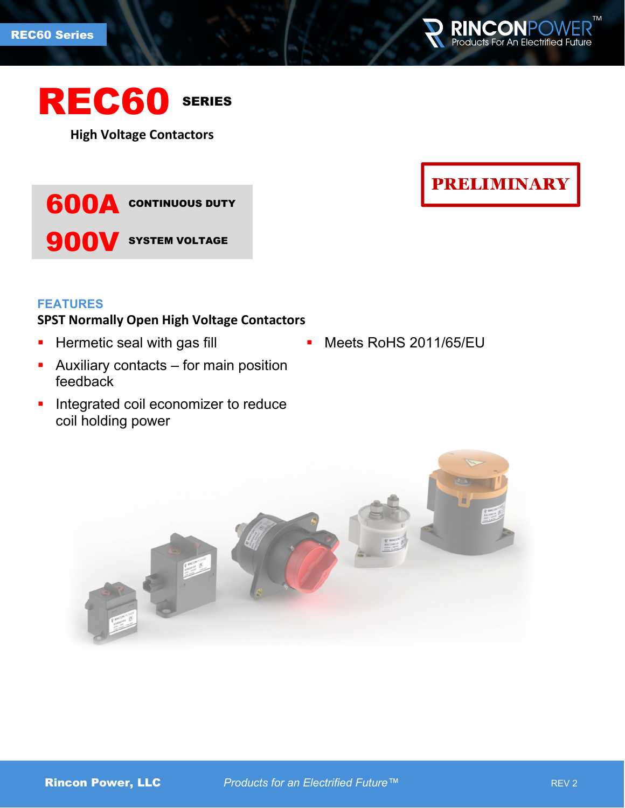



**High Voltage Contactors**



# **FEATURES**

# **SPST Normally Open High Voltage Contactors**

- **Hermetic seal with gas fill**
- **Auxiliary contacts for main position** feedback
- **Integrated coil economizer to reduce** coil holding power

**PRELIMINARY** 

**Meets RoHS 2011/65/EU** 

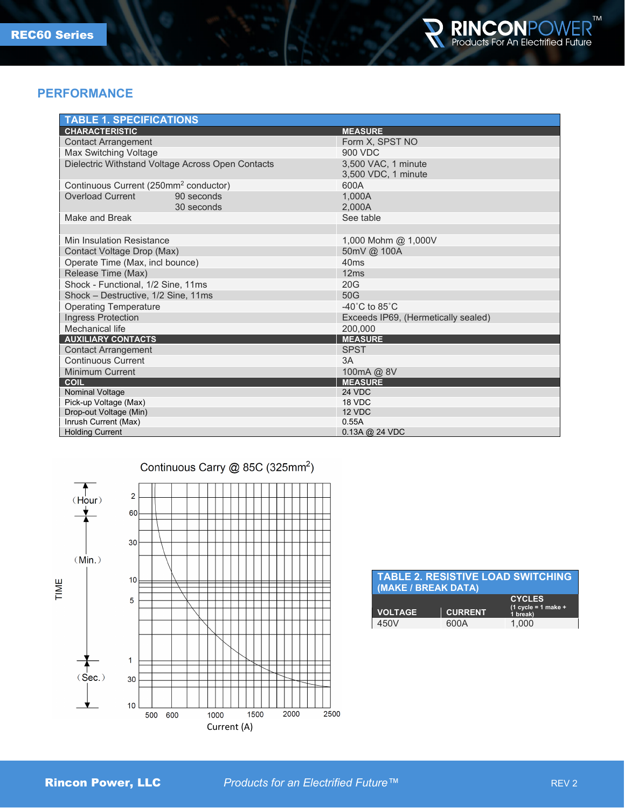

## **PERFORMANCE**

| <b>TABLE 1. SPECIFICATIONS</b>                      |                                            |  |
|-----------------------------------------------------|--------------------------------------------|--|
| <b>CHARACTERISTIC</b>                               | <b>MEASURE</b>                             |  |
| <b>Contact Arrangement</b>                          | Form X. SPST NO                            |  |
| Max Switching Voltage                               | 900 VDC                                    |  |
| Dielectric Withstand Voltage Across Open Contacts   | 3,500 VAC, 1 minute<br>3,500 VDC, 1 minute |  |
| Continuous Current (250mm <sup>2</sup> conductor)   | 600A                                       |  |
| <b>Overload Current</b><br>90 seconds<br>30 seconds | 1.000A<br>2.000A                           |  |
| Make and Break                                      | See table                                  |  |
|                                                     |                                            |  |
| Min Insulation Resistance                           | 1,000 Mohm @ 1,000V                        |  |
| Contact Voltage Drop (Max)                          | 50mV @ 100A                                |  |
| Operate Time (Max, incl bounce)                     | 40ms                                       |  |
| Release Time (Max)                                  | 12ms                                       |  |
| Shock - Functional, 1/2 Sine, 11ms                  | 20G                                        |  |
| Shock - Destructive, 1/2 Sine, 11ms                 | 50G                                        |  |
| <b>Operating Temperature</b>                        | $-40^{\circ}$ C to 85 $^{\circ}$ C         |  |
| Ingress Protection                                  | Exceeds IP69, (Hermetically sealed)        |  |
| Mechanical life                                     | 200.000                                    |  |
| <b>AUXILIARY CONTACTS</b>                           | <b>MEASURE</b>                             |  |
| <b>Contact Arrangement</b>                          | <b>SPST</b>                                |  |
| <b>Continuous Current</b>                           | 3A                                         |  |
| Minimum Current                                     | 100mA @ 8V                                 |  |
| <b>COIL</b>                                         | <b>MEASURE</b>                             |  |
| Nominal Voltage                                     | 24 VDC                                     |  |
| Pick-up Voltage (Max)                               | 18 VDC                                     |  |
| Drop-out Voltage (Min)                              | 12 VDC                                     |  |
| Inrush Current (Max)                                | 0.55A                                      |  |
| <b>Holding Current</b>                              | $0.13A$ @ 24 VDC                           |  |



## **TABLE 2. RESISTIVE LOAD SWITCHING (MAKE / BREAK DATA) CYCLES (1 cycle = 1 make + VOLTAGE CURRENT 1 break)**<br>450V **600A 1,000** 450V